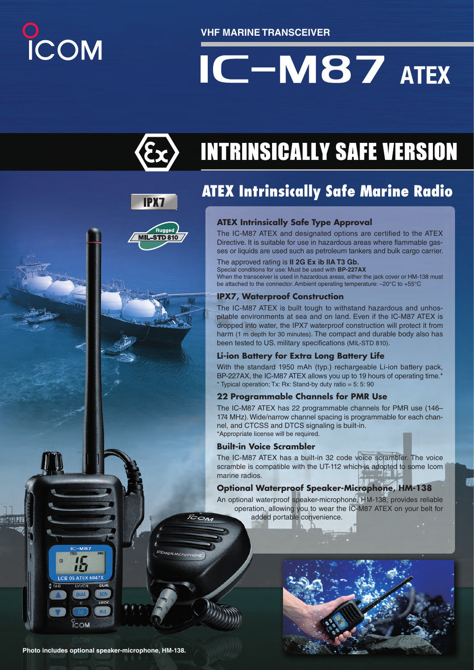# COM

**VHF MARINE TRANSCEIVER**

# $IC-M87$  ATEX



**IPX7** 

Rugger **L-STD810** 

## **INTRINSICALLY SAFE VERSION**

### **ATEX Intrinsically Safe Marine Radio**

#### **ATEX Intrinsically Safe Type Approval**

The IC-M87 ATEX and designated options are certified to the ATEX Directive. It is suitable for use in hazardous areas where flammable gasses or liquids are used such as petroleum tankers and bulk cargo carrier.

#### The approved rating is **II 2G Ex ib IIA T3 Gb.**

Special conditions for use: Must be used with **BP-227AX** When the transceiver is used in hazardous areas, either the jack cover or HM-138 must be attached to the connector. Ambient operating temperature: –20°C to +55°C

#### **IPX7, Waterproof Construction**

The IC-M87 ATEX is built tough to withstand hazardous and unhospitable environments at sea and on land. Even if the IC-M87 ATEX is dropped into water, the IPX7 waterproof construction will protect it from harm (1 m depth for 30 minutes). The compact and durable body also has been tested to US. military specifications (MIL-STD 810).

#### **Li-ion Battery for Extra Long Battery Life**

With the standard 1950 mAh (typ.) rechargeable Li-ion battery pack, BP-227AX, the IC-M87 ATEX allows you up to 19 hours of operating time.<sup>\*</sup>  $*$  Typical operation; Tx: Rx: Stand-by duty ratio = 5: 5: 90

#### **22 Programmable Channels for PMR Use**

The IC-M87 ATEX has 22 programmable channels for PMR use (146– 174 MHz). Wide/narrow channel spacing is programmable for each channel, and CTCSS and DTCS signaling is built-in. \*Appropriate license will be required.

#### **Built-in Voice Scrambler**

 $\overline{\mathcal{R}}_{O\Lambda}$ 

The IC-M87 ATEX has a built-in 32 code voice scrambler. The voice scramble is compatible with the UT-112 which is adopted to some Icom marine radios.

#### **Optional Waterproof Speaker-Microphone, HM-138**

An optional waterproof speaker-microphone, HM-138, provides reliable operation, allowing you to wear the IC-M87 ATEX on your belt for added portable convenience.



迫 LCIE 05 ATEX 6047>

**ICOM**